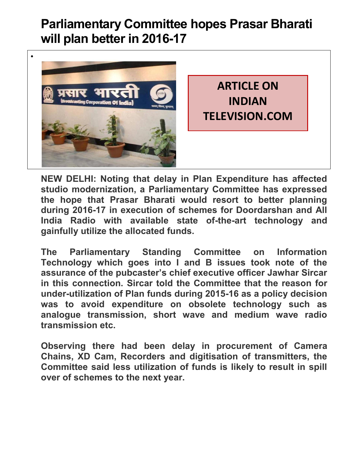## **Parliamentary Committee hopes Prasar Bharati will plan better in 2016-17**



**NEW DELHI: Noting that delay in Plan Expenditure has affected studio modernization, a Parliamentary Committee has expressed the hope that Prasar Bharati would resort to better planning during 2016-17 in execution of schemes for Doordarshan and All India Radio with available state of-the-art technology and gainfully utilize the allocated funds.** 

**The Parliamentary Standing Committee on Information Technology which goes into I and B issues took note of the assurance of the pubcaster's chief executive officer Jawhar Sircar in this connection. Sircar told the Committee that the reason for under-utilization of Plan funds during 2015-16 as a policy decision was to avoid expenditure on obsolete technology such as analogue transmission, short wave and medium wave radio transmission etc.** 

**Observing there had been delay in procurement of Camera Chains, XD Cam, Recorders and digitisation of transmitters, the Committee said less utilization of funds is likely to result in spill over of schemes to the next year.**